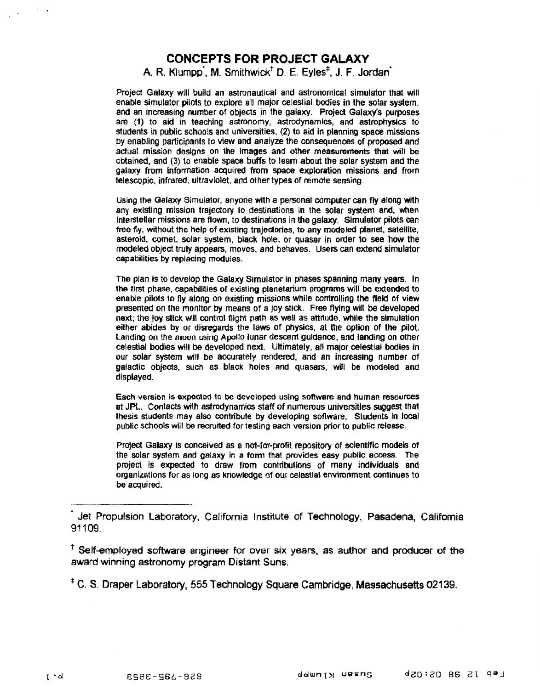# **CONCEPTS FOR PROJECT GALAXY**

# A. R. Klumpp, M. Smithwick<sup>†</sup> D. E. Eyles<sup>t</sup>, J. F. Jordan<sup>\*</sup>

Project Galaxy will build an astronautical and astronomical simulator that will enable simulator pilots to explore all major celestial bodies in the solar system, and an increasing number of objects in the galaxy. Project Galaxy's purposes are **(1)** to **aid in teaching astronomy, astrodynamlcs, and astrophysics to**  students in public schools and universities. (2) to aid in planning space missions by enabling participants to view and analyze the consequences of proposed and **actual mission designs on the images and other measurements that wili be**   $\alpha$  obtained, and (3) to enable space buffs to learn about the solar system and the galaxy from information acquired from space exploration missions and from telescopic, infrared, ultraviolet, and other types of remote sensing.

Using the Galaxy Simulator, anyone with a personal computer can fly along with any existing mission trajectory to destinations in the solar system and, when interstellar missions are flown, to destinations in the galaxy. Simulator pilots can free fly, without the help of existing trajectories, to any modeled planet, satellite, asteroid, comet, solar system, black hole, or quasar in order to see how the modeled object truly appears, moves, and behaves. Users can extend simulator **capabilities by repiacing modules.** 

The plan is to develop the Galaxy Simulator in phases spanning many years. In the first phase, capabilities of existing planetarium programs will be extended to enable pilots to fly along on existing missions while controlling the field of view presented on the monitor by means of a joy stick. Free flying will be developed next; the joy stick will control flight path as well as attitude, while the simulation either abides by or disregards the laws of physics, at the option of the pilot. Landing on the moon using Apollo lunar descent guidance, and landing on other celestial bodies will be developed next. Ultimately, all major celestial bodies in our solar system will be accurately rendered, and an increasing number of galactic objects, such as black holes and quasars, will be modeled and **displayed.** 

Each version is expected to be developed using software and human resources at JPL. Contacts with astrodynamics staff of numerous universities suggest that thesis students may also contribute by developing software. Students in local public schools will be recruited for testing each version prior to public release.

Project Galaxy is conceived as a not-for-profit repository of scientific models of the solar system and galaxy in a form that provides easy public access. The project is expected to draw from contributions of many individuals and organizations for as long as knowledge of our celestial environment continues to be acquired.

<sup>T</sup> Self-employed software engineer for over six years, as author and producer of the award winning astronomy program Distant Suns.

<sup>#</sup> C. S. Draper Laboratory, 555 Technology Square Cambridge, Massachusetts 02139.

Jet Propulsion Laboratory, California Institute of Technology, Pasadena, California 91109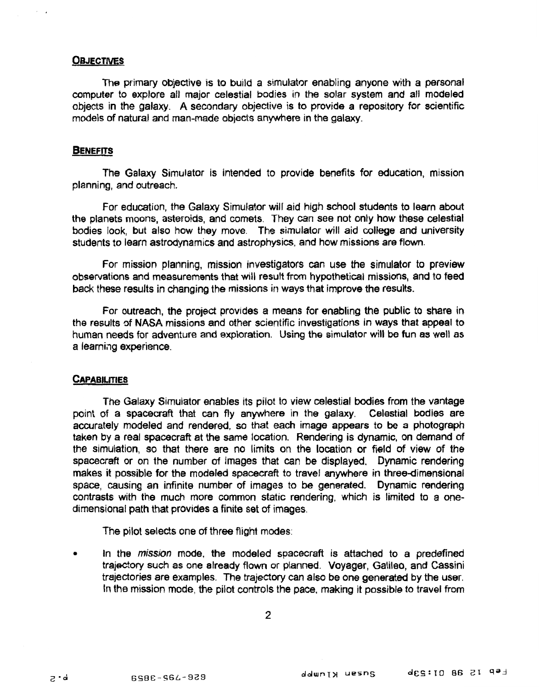# **OBJECTMS**

**The primary objective is to build a simulator enabling anyone with a personal computer to explore** all **major celestial bodies in the salar system and all modeled objects in** the **galaxy.** A **secondary objective is to provide a repository for scientific models of natural and man-made objects** anywhere **in** the **galaxy.** 

## **BENEFITS**

The Galaxy Simulator is intended to provide benefits for education, mission **planning, and outreach.** 

For education, the Galaxy Simulator will aid high school students to learn about **the planets moons, asteroids, and comets.** ?hey can *see* **not on\y how these celestial bodies** look, **but also how they move. The simulator will aid college and university students** to **learn aslradynamics and astrophysics, end how missions are flown.** 

For mission planning, mission investigators can use the simulator to preview **observations and measurements that will result** from **hypothetical missions, and** to **feed back these results in changing the missions in ways that improve the results.** 

For outreach, the project provides a means for enabling the public to share in **the results** *of* **NASA missions and other scientific investigations in ways that appeal to**  human **needs** for **adventure and exploration. Using the simulator will be** fun **as well as**  a **learniag experience.** 

#### **CAPABILITIES**

**The Galaxy simulator enables its pilot to view celestial bodies from the vantage**  point of a spacecraft that can fly anywhere in the galaxy. Celestial bodies are **accurately modefed and rendered,** *so* **that each image appears** to **be a photograph taken by a** real **spacecraft at** the **same** location. **Rendering is dynamic, on demand** of **the simulation,** so **that there are** no **limits** on **the** location **or field** of **view** of **the spacecraft** or on **the number** *of* **images that** can **be displayed.** Dynamic **rendering makes it possible for** the **modeled spacecraft to travel anywhere in three-dimensional space, causing an infinite number of images** to **be generated. Dynamic rendering contrasts with the** much more **common static rendering, which is limited to** a **onedimensional path that provides a finite set** of **images,** 

The **pilot selects** one of **three flight modes:** 

**9 In the** *mission* **mode, the modeled** spacecraft **is attached to a predefined trajectory such** *8s* one **atready** flow or **planned. Voyager, Galileo, and Cassini trajectories are examples. The** trajectory can **also be one generated by the** user. In the **mission mode,** the **pifot** controls the **pace, making it possible to travel from**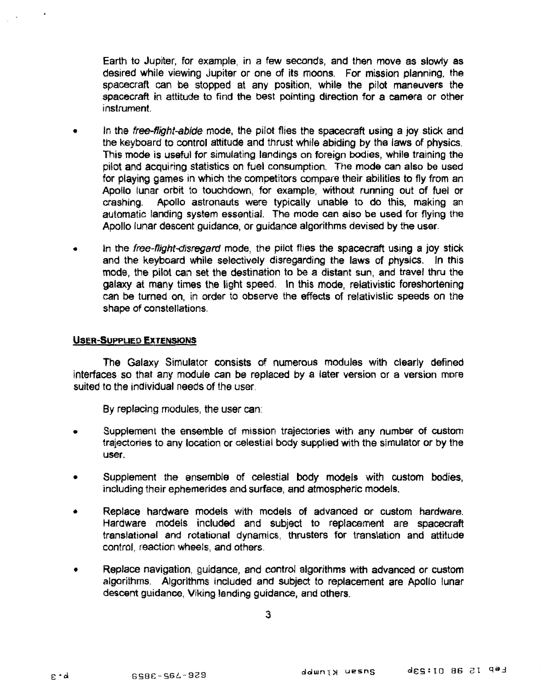**Earth** to Jupiter, **for example,** in **a few seconds, and then move as slowly as desired while viewing Jupiter** or **on8** of **its** moons. **For mission planning, the spacecraft** can **stopped** at **any position, while the pilot maneuvers** the spacecraft in attitude to find the best pointing direction for a camera or other **instrument.** 

- In the *free-flight-abide* mode, the pilot flies the spacecraft using a joy stick and the keyboard to control attitude and thrust while abiding by the laws of physics, **This mode is** useful **for simulating landings an foreign bodies, while training the pilot and acquiring statisties** on **fuel consumption. The mode** can **also be used for playing games** in which the **competitors compare their abilities** to **fly** from an Apollo lunar orbit to touchdown, for example, without running out of fuel or crashing. Apollo astronauts were typically unable to do this, making an **washing. Apdo astronauts** were **typically unable** to **do this, making** an **automatic landing system essential.** The **mode** can **also be used** for **flying** the **Apollo lunar descent guidance,** or **guidance algorithms devised by the user.**
- In the *free-flight-disregard* mode, the pilot flies the spacecraft using a joy stick and the keyboard while selectively disregarding the laws of physics. In this mode, the pilot can set the destination to be a distant sun, and travel thru the galaxy at many times the light speed. In this mode, relativistic foreshortening can **be turned on,** in **order** to **obse** the **effects of relativistic speeds on the shape** *of* **constellations.**

# **USER-SUPPLIED EXTENSIONS**

The Galaxy Simulator consists of numerous modules with clearly defined interfaces so that any module can be replaced by a later version or a version more **suited** ta the **individual needs** of the user.

**By replacing modules,** the **user** can:

- **Suppiernen! the ensemble** of **mission trajectories with any number of custom**   $\bullet$ trajectories to **any** location or **celestial body suppilie** with **the simulator** or **by** the **user.**
- **Suppiement the ensemble** of **Gelastias body models** with *custom bodies,*  **including** their **ephemerides and surface, and atmospheric models.**
- **Replace hardware models ith** models *of* **advanced or custom hardware.**   $\blacktriangle$ Hardware models included and subject to replacement are spacecraft translational and rotational dynamics, thrusters for translation and attitude control, reaction wheels, and others.
- Replace navigation, guidance, and control algorithms with advanced or custom ٠ **algarithrns. Algorithms included and subject** to **replacement are Apollo lunar**  descent guidance, Viking landing guidance, and others.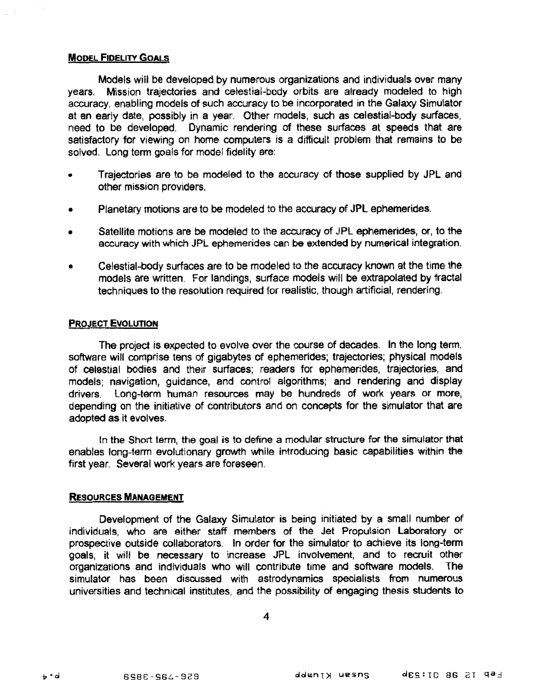# **MODEL FIDELITY GOALS**

**Models will be** developed **by** numerous organizations **and individuals** over many **years, Mission** trajectories **and celestial-body** orbits are **already modeled** to **high**  accuracy. enabling models of such accuracy to be incorporated in the Galaxy Simulator at an early date, **possibly in** a **year,** Other **models, such as** celestial-body **surfaces,**  need to **be developed, Dynamic rendering** *of* these **surfaces** at **speeds that** are satisfactory for viewing on home computers is a difficult problem that remains to be solved. Long term goals for model fidelity are:

- Trajectories are to be modeled to the accuracy of those supplied by JPL and other mission providers.
- **a Planetary** motions are to **be modeled** to the **accuracy of JPL ephemerides.**
- Satellite motions are be modeled to the accuracy of JPL ephemerides, or, to the accuracy with which **JPL** ephemerides can be extended by numerical integration.
- *<sup>0</sup>***Celsstial-b dy surfaces are to** *be* modefed to the **accuracy** known **at** the **time the**  models are written. For landings, surface models will be extrapolated by fractal **techniques to the** resolution **required for realistic,** though **artificial,** rendering.

## **PROJECT EVOLUTION**

**The project is expsdsd** to evolve over the **course** of decades. **In** the long term, software will comprise tens of gigabytes of ephemerides; trajectories; physical models of celestial bodies and their surfaces; readers for ephemerides, trajectories, and  $m$ odels; navigation, guidance, and control algorithms; and rendering and display drivers. Long-term human resources may be hundreds of work years or more, depending on the initiative of contributors and on concepts for the simulator that are adopted **as** it evolves.

In **the Short term, the goal is** to **efine a modular structure** for **the simulator that**  enables **long-term** evolutionary **growth** while introducing **basic** capabilities **within the**  first **year.** Several work years are foreseen.

# **RESOURCES MANAGEMENT**

Development of **the Galaxy** Simulator **is being** initiated **by** *e* **small number** af **individuals,** who **are either staff members of** the Jet **Propulsion Laboratory** or prospective outside collaborators. In order for the simulator to achieve its long-term **goals, it will be necessary** to **increase** JPL involvement, and to recruit **other**  organizations and individuals who will contribute time and software models. simulator **has been discussed** with astrodynamics **specialists from** numerous universities **and technical** institutes, **and the possibility of** engaging **thesis** students **to** 

**4**